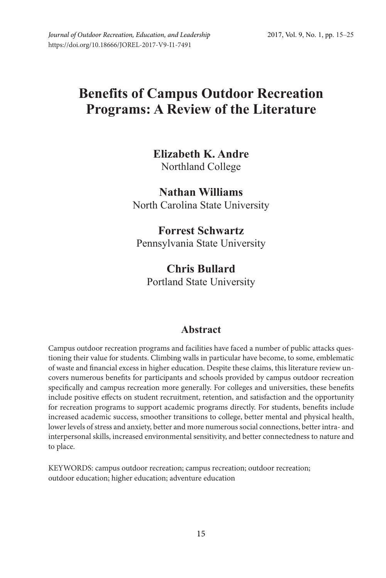## **Benefits of Campus Outdoor Recreation Programs: A Review of the Literature**

# **Elizabeth K. Andre**

Northland College

**Nathan Williams** North Carolina State University

## **Forrest Schwartz** Pennsylvania State University

### **Chris Bullard** Portland State University

## **Abstract**

Campus outdoor recreation programs and facilities have faced a number of public attacks questioning their value for students. Climbing walls in particular have become, to some, emblematic of waste and financial excess in higher education. Despite these claims, this literature review uncovers numerous benefits for participants and schools provided by campus outdoor recreation specifically and campus recreation more generally. For colleges and universities, these benefits include positive effects on student recruitment, retention, and satisfaction and the opportunity for recreation programs to support academic programs directly. For students, benefits include increased academic success, smoother transitions to college, better mental and physical health, lower levels of stress and anxiety, better and more numerous social connections, better intra- and interpersonal skills, increased environmental sensitivity, and better connectedness to nature and to place.

KEYWORDS: campus outdoor recreation; campus recreation; outdoor recreation; outdoor education; higher education; adventure education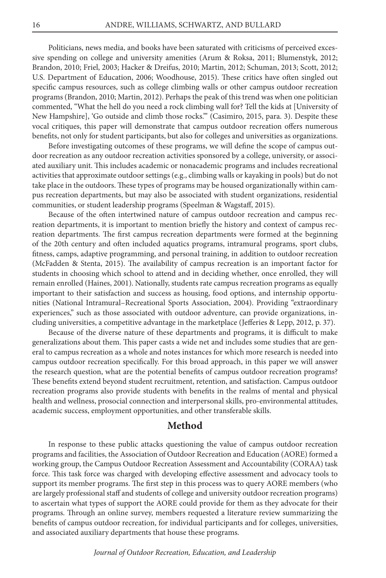Politicians, news media, and books have been saturated with criticisms of perceived excessive spending on college and university amenities (Arum & Roksa, 2011; Blumenstyk, 2012; Brandon, 2010; Friel, 2003; Hacker & Dreifus, 2010; Martin, 2012; Schuman, 2013; Scott, 2012; U.S. Department of Education, 2006; Woodhouse, 2015). These critics have often singled out specific campus resources, such as college climbing walls or other campus outdoor recreation programs (Brandon, 2010; Martin, 2012). Perhaps the peak of this trend was when one politician commented, "What the hell do you need a rock climbing wall for? Tell the kids at [University of New Hampshire], 'Go outside and climb those rocks.'" (Casimiro, 2015, para. 3). Despite these vocal critiques, this paper will demonstrate that campus outdoor recreation offers numerous benefits, not only for student participants, but also for colleges and universities as organizations.

Before investigating outcomes of these programs, we will define the scope of campus outdoor recreation as any outdoor recreation activities sponsored by a college, university, or associated auxiliary unit. This includes academic or nonacademic programs and includes recreational activities that approximate outdoor settings (e.g., climbing walls or kayaking in pools) but do not take place in the outdoors. These types of programs may be housed organizationally within campus recreation departments, but may also be associated with student organizations, residential communities, or student leadership programs (Speelman & Wagstaff, 2015).

Because of the often intertwined nature of campus outdoor recreation and campus recreation departments, it is important to mention briefly the history and context of campus recreation departments. The first campus recreation departments were formed at the beginning of the 20th century and often included aquatics programs, intramural programs, sport clubs, fitness, camps, adaptive programming, and personal training, in addition to outdoor recreation (McFadden & Stenta, 2015). The availability of campus recreation is an important factor for students in choosing which school to attend and in deciding whether, once enrolled, they will remain enrolled (Haines, 2001). Nationally, students rate campus recreation programs as equally important to their satisfaction and success as housing, food options, and internship opportunities (National Intramural–Recreational Sports Association, 2004). Providing "extraordinary experiences," such as those associated with outdoor adventure, can provide organizations, including universities, a competitive advantage in the marketplace (Jefferies & Lepp, 2012, p. 37).

Because of the diverse nature of these departments and programs, it is difficult to make generalizations about them. This paper casts a wide net and includes some studies that are general to campus recreation as a whole and notes instances for which more research is needed into campus outdoor recreation specifically. For this broad approach, in this paper we will answer the research question, what are the potential benefits of campus outdoor recreation programs? These benefits extend beyond student recruitment, retention, and satisfaction. Campus outdoor recreation programs also provide students with benefits in the realms of mental and physical health and wellness, prosocial connection and interpersonal skills, pro-environmental attitudes, academic success, employment opportunities, and other transferable skills.

#### **Method**

In response to these public attacks questioning the value of campus outdoor recreation programs and facilities, the Association of Outdoor Recreation and Education (AORE) formed a working group, the Campus Outdoor Recreation Assessment and Accountability (CORAA) task force. This task force was charged with developing effective assessment and advocacy tools to support its member programs. The first step in this process was to query AORE members (who are largely professional staff and students of college and university outdoor recreation programs) to ascertain what types of support the AORE could provide for them as they advocate for their programs. Through an online survey, members requested a literature review summarizing the benefits of campus outdoor recreation, for individual participants and for colleges, universities, and associated auxiliary departments that house these programs.

*Journal of Outdoor Recreation, Education, and Leadership*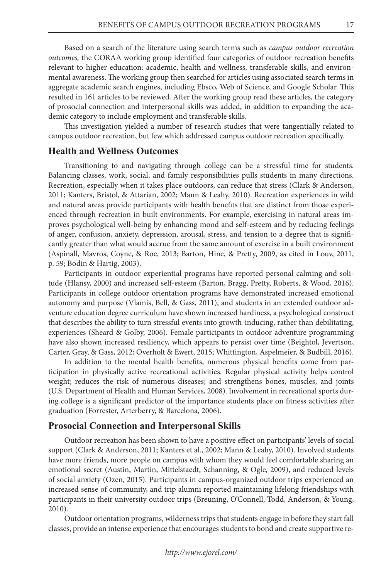Based on a search of the literature using search terms such as *campus outdoor recreation outcomes,* the CORAA working group identified four categories of outdoor recreation benefits relevant to higher education: academic, health and wellness, transferable skills, and environmental awareness. The working group then searched for articles using associated search terms in aggregate academic search engines, including Ebsco, Web of Science, and Google Scholar. This resulted in 161 articles to be reviewed. After the working group read these articles, the category of prosocial connection and interpersonal skills was added, in addition to expanding the academic category to include employment and transferable skills.

This investigation yielded a number of research studies that were tangentially related to campus outdoor recreation, but few which addressed campus outdoor recreation specifically.

#### **Health and Wellness Outcomes**

Transitioning to and navigating through college can be a stressful time for students. Balancing classes, work, social, and family responsibilities pulls students in many directions. Recreation, especially when it takes place outdoors, can reduce that stress (Clark & Anderson, 2011; Kanters, Bristol, & Attarian, 2002; Mann & Leahy, 2010). Recreation experiences in wild and natural areas provide participants with health benefits that are distinct from those experienced through recreation in built environments. For example, exercising in natural areas improves psychological well-being by enhancing mood and self-esteem and by reducing feelings of anger, confusion, anxiety, depression, arousal, stress, and tension to a degree that is significantly greater than what would accrue from the same amount of exercise in a built environment (Aspinall, Mavros, Coyne, & Roe, 2013; Barton, Hine, & Pretty, 2009, as cited in Louv, 2011, p. 59; Bodin & Hartig, 2003).

Participants in outdoor experiential programs have reported personal calming and solitude (Hlansy, 2000) and increased self-esteem (Barton, Bragg, Pretty, Roberts, & Wood, 2016). Participants in college outdoor orientation programs have demonstrated increased emotional autonomy and purpose (Vlamis, Bell, & Gass, 2011), and students in an extended outdoor adventure education degree curriculum have shown increased hardiness, a psychological construct that describes the ability to turn stressful events into growth-inducing, rather than debilitating, experiences (Sheard & Golby, 2006). Female participants in outdoor adventure programming have also shown increased resiliency, which appears to persist over time (Beightol, Jevertson, Carter, Gray, & Gass, 2012; Overholt & Ewert, 2015; Whittington, Aspelmeier, & Budbill, 2016).

In addition to the mental health benefits, numerous physical benefits come from participation in physically active recreational activities. Regular physical activity helps control weight; reduces the risk of numerous diseases; and strengthens bones, muscles, and joints (U.S. Department of Health and Human Services, 2008). Involvement in recreational sports during college is a significant predictor of the importance students place on fitness activities after graduation (Forrester, Arterberry, & Barcelona, 2006).

#### **Prosocial Connection and Interpersonal Skills**

Outdoor recreation has been shown to have a positive effect on participants' levels of social support (Clark & Anderson, 2011; Kanters et al., 2002; Mann & Leahy, 2010). Involved students have more friends, more people on campus with whom they would feel comfortable sharing an emotional secret (Austin, Martin, Mittelstaedt, Schanning, & Ogle, 2009), and reduced levels of social anxiety (Ozen, 2015). Participants in campus-organized outdoor trips experienced an increased sense of community, and trip alumni reported maintaining lifelong friendships with participants in their university outdoor trips (Breuning, O'Connell, Todd, Anderson, & Young, 2010).

Outdoor orientation programs, wilderness trips that students engage in before they start fall classes, provide an intense experience that encourages students to bond and create supportive re-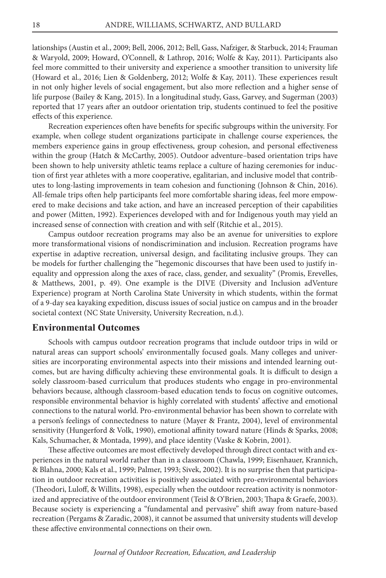lationships (Austin et al., 2009; Bell, 2006, 2012; Bell, Gass, Nafziger, & Starbuck, 2014; Frauman & Waryold, 2009; Howard, O'Connell, & Lathrop, 2016; Wolfe & Kay, 2011). Participants also feel more committed to their university and experience a smoother transition to university life (Howard et al., 2016; Lien & Goldenberg, 2012; Wolfe & Kay, 2011). These experiences result in not only higher levels of social engagement, but also more reflection and a higher sense of life purpose (Bailey & Kang, 2015). In a longitudinal study, Gass, Garvey, and Sugerman (2003) reported that 17 years after an outdoor orientation trip, students continued to feel the positive effects of this experience.

Recreation experiences often have benefits for specific subgroups within the university. For example, when college student organizations participate in challenge course experiences, the members experience gains in group effectiveness, group cohesion, and personal effectiveness within the group (Hatch & McCarthy, 2005). Outdoor adventure–based orientation trips have been shown to help university athletic teams replace a culture of hazing ceremonies for induction of first year athletes with a more cooperative, egalitarian, and inclusive model that contributes to long-lasting improvements in team cohesion and functioning (Johnson & Chin, 2016). All-female trips often help participants feel more comfortable sharing ideas, feel more empowered to make decisions and take action, and have an increased perception of their capabilities and power (Mitten, 1992). Experiences developed with and for Indigenous youth may yield an increased sense of connection with creation and with self (Ritchie et al., 2015).

Campus outdoor recreation programs may also be an avenue for universities to explore more transformational visions of nondiscrimination and inclusion. Recreation programs have expertise in adaptive recreation, universal design, and facilitating inclusive groups. They can be models for further challenging the "hegemonic discourses that have been used to justify inequality and oppression along the axes of race, class, gender, and sexuality" (Promis, Erevelles, & Matthews, 2001, p. 49). One example is the DIVE (Diversity and Inclusion adVenture Experience) program at North Carolina State University in which students, within the format of a 9-day sea kayaking expedition, discuss issues of social justice on campus and in the broader societal context (NC State University, University Recreation, n.d.).

#### **Environmental Outcomes**

Schools with campus outdoor recreation programs that include outdoor trips in wild or natural areas can support schools' environmentally focused goals. Many colleges and universities are incorporating environmental aspects into their missions and intended learning outcomes, but are having difficulty achieving these environmental goals. It is difficult to design a solely classroom-based curriculum that produces students who engage in pro-environmental behaviors because, although classroom-based education tends to focus on cognitive outcomes, responsible environmental behavior is highly correlated with students' affective and emotional connections to the natural world. Pro-environmental behavior has been shown to correlate with a person's feelings of connectedness to nature (Mayer & Frantz, 2004), level of environmental sensitivity (Hungerford & Volk, 1990), emotional affinity toward nature (Hinds & Sparks, 2008; Kals, Schumacher, & Montada, 1999), and place identity (Vaske & Kobrin, 2001).

These affective outcomes are most effectively developed through direct contact with and experiences in the natural world rather than in a classroom (Chawla, 1999; Eisenhauer, Krannich, & Blahna, 2000; Kals et al., 1999; Palmer, 1993; Sivek, 2002). It is no surprise then that participation in outdoor recreation activities is positively associated with pro-environmental behaviors (Theodori, Luloff, & Willits, 1998), especially when the outdoor recreation activity is nonmotorized and appreciative of the outdoor environment (Teisl & O'Brien, 2003; Thapa & Graefe, 2003). Because society is experiencing a "fundamental and pervasive" shift away from nature-based recreation (Pergams & Zaradic, 2008), it cannot be assumed that university students will develop these affective environmental connections on their own.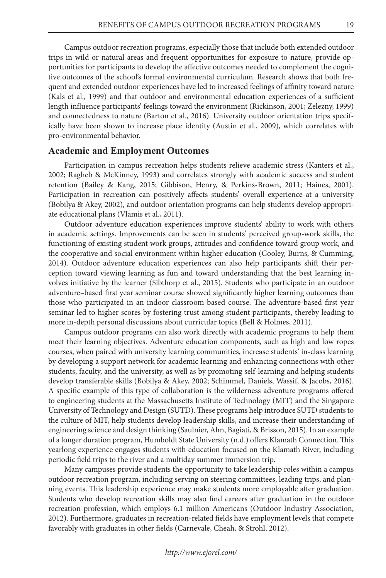Campus outdoor recreation programs, especially those that include both extended outdoor trips in wild or natural areas and frequent opportunities for exposure to nature, provide opportunities for participants to develop the affective outcomes needed to complement the cognitive outcomes of the school's formal environmental curriculum. Research shows that both frequent and extended outdoor experiences have led to increased feelings of affinity toward nature (Kals et al., 1999) and that outdoor and environmental education experiences of a sufficient length influence participants' feelings toward the environment (Rickinson, 2001; Zelezny, 1999) and connectedness to nature (Barton et al., 2016). University outdoor orientation trips specifically have been shown to increase place identity (Austin et al., 2009), which correlates with pro-environmental behavior.

#### **Academic and Employment Outcomes**

Participation in campus recreation helps students relieve academic stress (Kanters et al., 2002; Ragheb & McKinney, 1993) and correlates strongly with academic success and student retention (Bailey & Kang, 2015; Gibbison, Henry, & Perkins-Brown, 2011; Haines, 2001). Participation in recreation can positively affects students' overall experience at a university (Bobilya & Akey, 2002), and outdoor orientation programs can help students develop appropriate educational plans (Vlamis et al., 2011).

Outdoor adventure education experiences improve students' ability to work with others in academic settings. Improvements can be seen in students' perceived group-work skills, the functioning of existing student work groups, attitudes and confidence toward group work, and the cooperative and social environment within higher education (Cooley, Burns, & Cumming, 2014). Outdoor adventure education experiences can also help participants shift their perception toward viewing learning as fun and toward understanding that the best learning involves initiative by the learner (Sibthorp et al., 2015). Students who participate in an outdoor adventure–based first year seminar course showed significantly higher learning outcomes than those who participated in an indoor classroom-based course. The adventure-based first year seminar led to higher scores by fostering trust among student participants, thereby leading to more in-depth personal discussions about curricular topics (Bell & Holmes, 2011).

Campus outdoor programs can also work directly with academic programs to help them meet their learning objectives. Adventure education components, such as high and low ropes courses, when paired with university learning communities, increase students' in-class learning by developing a support network for academic learning and enhancing connections with other students, faculty, and the university, as well as by promoting self-learning and helping students develop transferable skills (Bobilya & Akey, 2002; Schimmel, Daniels, Wassif, & Jacobs, 2016). A specific example of this type of collaboration is the wilderness adventure programs offered to engineering students at the Massachusetts Institute of Technology (MIT) and the Singapore University of Technology and Design (SUTD). These programs help introduce SUTD students to the culture of MIT, help students develop leadership skills, and increase their understanding of engineering science and design thinking (Saulnier, Ahn, Bagiati, & Brisson, 2015). In an example of a longer duration program, Humboldt State University (n.d.) offers Klamath Connection. This yearlong experience engages students with education focused on the Klamath River, including periodic field trips to the river and a multiday summer immersion trip.

Many campuses provide students the opportunity to take leadership roles within a campus outdoor recreation program, including serving on steering committees, leading trips, and planning events. This leadership experience may make students more employable after graduation. Students who develop recreation skills may also find careers after graduation in the outdoor recreation profession, which employs 6.1 million Americans (Outdoor Industry Association, 2012). Furthermore, graduates in recreation-related fields have employment levels that compete favorably with graduates in other fields (Carnevale, Cheah, & Strohl, 2012).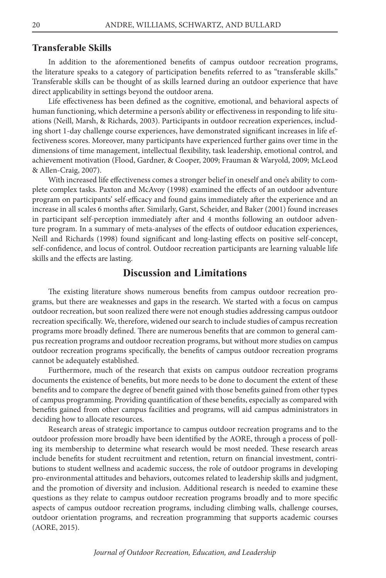#### **Transferable Skills**

In addition to the aforementioned benefits of campus outdoor recreation programs, the literature speaks to a category of participation benefits referred to as "transferable skills." Transferable skills can be thought of as skills learned during an outdoor experience that have direct applicability in settings beyond the outdoor arena.

Life effectiveness has been defined as the cognitive, emotional, and behavioral aspects of human functioning, which determine a person's ability or effectiveness in responding to life situations (Neill, Marsh, & Richards, 2003). Participants in outdoor recreation experiences, including short 1-day challenge course experiences, have demonstrated significant increases in life effectiveness scores. Moreover, many participants have experienced further gains over time in the dimensions of time management, intellectual flexibility, task leadership, emotional control, and achievement motivation (Flood, Gardner, & Cooper, 2009; Frauman & Waryold, 2009; McLeod & Allen-Craig, 2007).

With increased life effectiveness comes a stronger belief in oneself and one's ability to complete complex tasks. Paxton and McAvoy (1998) examined the effects of an outdoor adventure program on participants' self-efficacy and found gains immediately after the experience and an increase in all scales 6 months after. Similarly, Garst, Scheider, and Baker (2001) found increases in participant self-perception immediately after and 4 months following an outdoor adventure program. In a summary of meta-analyses of the effects of outdoor education experiences, Neill and Richards (1998) found significant and long-lasting effects on positive self-concept, self-confidence, and locus of control. Outdoor recreation participants are learning valuable life skills and the effects are lasting.

#### **Discussion and Limitations**

The existing literature shows numerous benefits from campus outdoor recreation programs, but there are weaknesses and gaps in the research. We started with a focus on campus outdoor recreation, but soon realized there were not enough studies addressing campus outdoor recreation specifically. We, therefore, widened our search to include studies of campus recreation programs more broadly defined. There are numerous benefits that are common to general campus recreation programs and outdoor recreation programs, but without more studies on campus outdoor recreation programs specifically, the benefits of campus outdoor recreation programs cannot be adequately established.

Furthermore, much of the research that exists on campus outdoor recreation programs documents the existence of benefits, but more needs to be done to document the extent of these benefits and to compare the degree of benefit gained with those benefits gained from other types of campus programming. Providing quantification of these benefits, especially as compared with benefits gained from other campus facilities and programs, will aid campus administrators in deciding how to allocate resources.

Research areas of strategic importance to campus outdoor recreation programs and to the outdoor profession more broadly have been identified by the AORE, through a process of polling its membership to determine what research would be most needed. These research areas include benefits for student recruitment and retention, return on financial investment, contributions to student wellness and academic success, the role of outdoor programs in developing pro-environmental attitudes and behaviors, outcomes related to leadership skills and judgment, and the promotion of diversity and inclusion. Additional research is needed to examine these questions as they relate to campus outdoor recreation programs broadly and to more specific aspects of campus outdoor recreation programs, including climbing walls, challenge courses, outdoor orientation programs, and recreation programming that supports academic courses (AORE, 2015).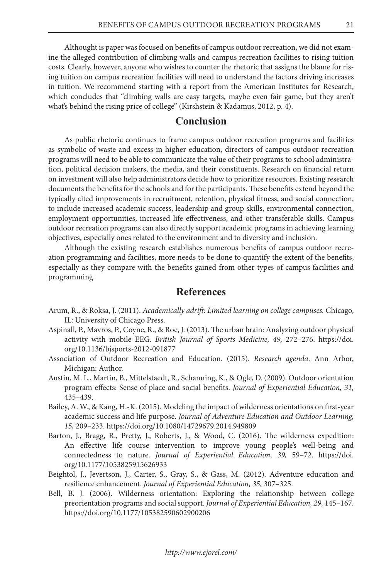Althought is paper was focused on benefits of campus outdoor recreation, we did not examine the alleged contribution of climbing walls and campus recreation facilities to rising tuition costs. Clearly, however, anyone who wishes to counter the rhetoric that assigns the blame for rising tuition on campus recreation facilities will need to understand the factors driving increases in tuition. We recommend starting with a report from the American Institutes for Research, which concludes that "climbing walls are easy targets, maybe even fair game, but they aren't what's behind the rising price of college" (Kirshstein & Kadamus, 2012, p. 4).

#### **Conclusion**

As public rhetoric continues to frame campus outdoor recreation programs and facilities as symbolic of waste and excess in higher education, directors of campus outdoor recreation programs will need to be able to communicate the value of their programs to school administration, political decision makers, the media, and their constituents. Research on financial return on investment will also help administrators decide how to prioritize resources. Existing research documents the benefits for the schools and for the participants. These benefits extend beyond the typically cited improvements in recruitment, retention, physical fitness, and social connection, to include increased academic success, leadership and group skills, environmental connection, employment opportunities, increased life effectiveness, and other transferable skills. Campus outdoor recreation programs can also directly support academic programs in achieving learning objectives, especially ones related to the environment and to diversity and inclusion.

Although the existing research establishes numerous benefits of campus outdoor recreation programming and facilities, more needs to be done to quantify the extent of the benefits, especially as they compare with the benefits gained from other types of campus facilities and programming.

#### **References**

- Arum, R., & Roksa, J. (2011). *Academically adrift: Limited learning on college campuses.* Chicago, IL: University of Chicago Press.
- Aspinall, P., Mavros, P., Coyne, R., & Roe, J. (2013). The urban brain: Analyzing outdoor physical activity with mobile EEG. *British Journal of Sports Medicine, 49,* 272–276. https://doi. org/10.1136/bjsports-2012-091877
- Association of Outdoor Recreation and Education. (2015). *Research agenda*. Ann Arbor, Michigan: Author.
- Austin, M. L., Martin, B., Mittelstaedt, R., Schanning, K., & Ogle, D. (2009). Outdoor orientation program effects: Sense of place and social benefits. *Journal of Experiential Education, 31,*  435–439.
- Bailey, A. W., & Kang, H.-K. (2015). Modeling the impact of wilderness orientations on first-year academic success and life purpose. *Journal of Adventure Education and Outdoor Learning, 15,* 209–233. https://doi.org/10.1080/14729679.2014.949809
- Barton, J., Bragg, R., Pretty, J., Roberts, J., & Wood, C. (2016). The wilderness expedition: An effective life course intervention to improve young people's well-being and connectedness to nature. *Journal of Experiential Education, 39,* 59–72. https://doi. org/10.1177/1053825915626933
- Beightol, J., Jevertson, J., Carter, S., Gray, S., & Gass, M. (2012). Adventure education and resilience enhancement. *Journal of Experiential Education, 35,* 307–325.
- Bell, B. J. (2006). Wilderness orientation: Exploring the relationship between college preorientation programs and social support. *Journal of Experiential Education, 29,* 145–167. https://doi.org/10.1177/105382590602900206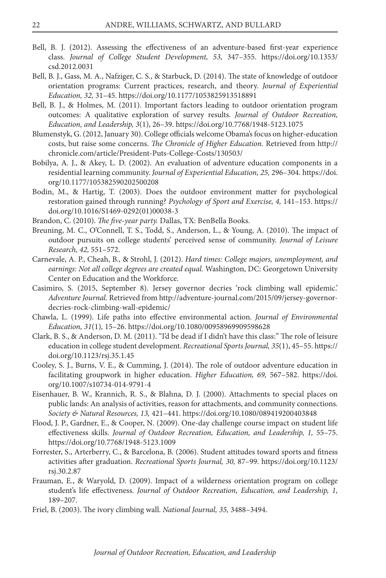- Bell, B. J. (2012). Assessing the effectiveness of an adventure-based first-year experience class. *Journal of College Student Development, 53,* 347–355. https://doi.org/10.1353/ csd.2012.0031
- Bell, B. J., Gass, M. A., Nafziger, C. S., & Starbuck, D. (2014). The state of knowledge of outdoor orientation programs: Current practices, research, and theory. *Journal of Experiential Education, 32,* 31–45. https://doi.org/10.1177/1053825913518891
- Bell, B. J., & Holmes, M. (2011). Important factors leading to outdoor orientation program outcomes: A qualitative exploration of survey results. *Journal of Outdoor Recreation, Education, and Leadership, 3*(1), 26–39. https://doi.org/10.7768/1948-5123.1075
- Blumenstyk, G. (2012, January 30). College officials welcome Obama's focus on higher-education costs, but raise some concerns. *The Chronicle of Higher Education.* Retrieved from http:// chronicle.com/article/President-Puts-College-Costs/130503/
- Bobilya, A. J., & Akey, L. D. (2002). An evaluation of adventure education components in a residential learning community. *Journal of Experiential Education, 25,* 296–304. https://doi. org/10.1177/105382590202500208
- Bodin, M., & Hartig, T. (2003). Does the outdoor environment matter for psychological restoration gained through running? *Psychology of Sport and Exercise, 4,* 141–153. https:// doi.org/10.1016/S1469-0292(01)00038-3
- Brandon, C. (2010). *The five-year party.* Dallas, TX: BenBella Books.
- Breuning, M. C., O'Connell, T. S., Todd, S., Anderson, L., & Young, A. (2010). The impact of outdoor pursuits on college students' perceived sense of community. *Journal of Leisure Research, 42,* 551–572.
- Carnevale, A. P., Cheah, B., & Strohl, J. (2012). *Hard times: College majors, unemployment, and earnings: Not all college degrees are created equal.* Washington, DC: Georgetown University Center on Education and the Workforce.
- Casimiro, S. (2015, September 8). Jersey governor decries 'rock climbing wall epidemic.' *Adventure Journal.* Retrieved from http://adventure-journal.com/2015/09/jersey-governordecries-rock-climbing-wall-epidemic/
- Chawla, L. (1999). Life paths into effective environmental action. *Journal of Environmental Education, 31*(1)*,* 15–26. https://doi.org/10.1080/00958969909598628
- Clark, B. S., & Anderson, D. M. (2011). "I'd be dead if I didn't have this class:" The role of leisure education in college student development. *Recreational Sports Journal, 35*(1), 45–55. https:// doi.org/10.1123/rsj.35.1.45
- Cooley, S. J., Burns, V. E., & Cumming, J. (2014). The role of outdoor adventure education in facilitating groupwork in higher education. *Higher Education, 69,* 567–582. https://doi. org/10.1007/s10734-014-9791-4
- Eisenhauer, B. W., Krannich, R. S., & Blahna, D. J. (2000). Attachments to special places on public lands: An analysis of activities, reason for attachments, and community connections. *Society & Natural Resources, 13,* 421–441. https://doi.org/10.1080/089419200403848
- Flood, J. P., Gardner, E., & Cooper, N. (2009). One-day challenge course impact on student life effectiveness skills. *Journal of Outdoor Recreation, Education, and Leadership, 1,* 55–75. https://doi.org/10.7768/1948-5123.1009
- Forrester, S., Arterberry, C., & Barcelona, B. (2006). Student attitudes toward sports and fitness activities after graduation. *Recreational Sports Journal, 30,* 87–99. https://doi.org/10.1123/ rsj.30.2.87
- Frauman, E., & Waryold, D. (2009). Impact of a wilderness orientation program on college student's life effectiveness. *Journal of Outdoor Recreation, Education, and Leadership, 1,* 189–207.
- Friel, B. (2003). The ivory climbing wall. *National Journal, 35,* 3488–3494.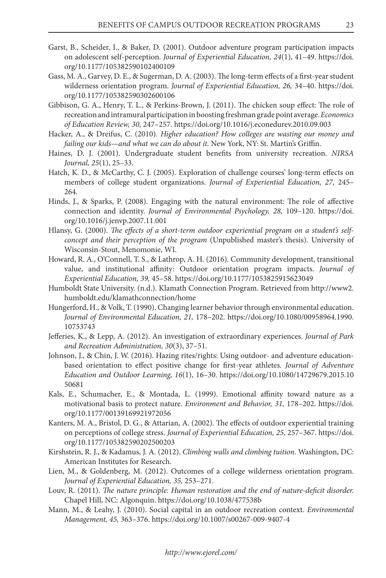- Garst, B., Scheider, I., & Baker, D. (2001). Outdoor adventure program participation impacts on adolescent self-perception. *Journal of Experiential Education, 24*(1), 41–49. https://doi. org/10.1177/105382590102400109
- Gass, M. A., Garvey, D. E., & Sugerman, D. A. (2003). The long-term effects of a first-year student wilderness orientation program. *Journal of Experiential Education, 26,* 34–40. https://doi. org/10.1177/105382590302600106
- Gibbison, G. A., Henry, T. L., & Perkins-Brown, J. (2011). The chicken soup effect: The role of recreation and intramural participation in boosting freshman grade point average. *Economics of Education Review, 30,* 247–257. https://doi.org/10.1016/j.econedurev.2010.09.003
- Hacker, A., & Dreifus, C. (2010). *Higher education? How colleges are wasting our money and failing our kids—and what we can do about it.* New York, NY: St. Martin's Griffin.
- Haines, D. J. (2001). Undergraduate student benefits from university recreation. *NIRSA Journal, 25*(1), 25–33.
- Hatch, K. D., & McCarthy, C. J. (2005). Exploration of challenge courses' long-term effects on members of college student organizations. *Journal of Experiential Education, 27,* 245– 264.
- Hinds, J., & Sparks, P. (2008). Engaging with the natural environment: The role of affective connection and identity. *Journal of Environmental Psychology, 28,* 109–120. https://doi. org/10.1016/j.jenvp.2007.11.001
- Hlansy, G. (2000). *The effects of a short-term outdoor experiential program on a student's selfconcept and their perception of the program* (Unpublished master's thesis). University of Wisconsin-Stout, Menomonie, WI.
- Howard, R. A., O'Connell, T. S., & Lathrop, A. H. (2016). Community development, transitional value, and institutional affinity: Outdoor orientation program impacts. *Journal of Experiential Education, 39,* 45–58. https://doi.org/10.1177/1053825915623049
- Humboldt State University. (n.d.). Klamath Connection Program. Retrieved from http://www2. humboldt.edu/klamathconnection/home
- Hungerford, H., & Volk, T. (1990). Changing learner behavior through environmental education. *Journal of Environmental Education, 21,* 178–202. https://doi.org/10.1080/00958964.1990. 10753743
- Jefferies, K., & Lepp, A. (2012). An investigation of extraordinary experiences. *Journal of Park and Recreation Administration, 30*(3), 37–51.
- Johnson, J., & Chin, J. W. (2016). Hazing rites/rights: Using outdoor- and adventure educationbased orientation to effect positive change for first-year athletes. *Journal of Adventure Education and Outdoor Learning, 16*(1), 16–30. https://doi.org/10.1080/14729679.2015.10 50681
- Kals, E., Schumacher, E., & Montada, L. (1999). Emotional affinity toward nature as a motivational basis to protect nature. *Environment and Behavior, 31,* 178–202. https://doi. org/10.1177/00139169921972056
- Kanters, M. A., Bristol, D. G., & Attarian, A. (2002). The effects of outdoor experiential training on perceptions of college stress. *Journal of Experiential Education, 25,* 257–367. https://doi. org/10.1177/105382590202500203
- Kirshstein, R. J., & Kadamus, J. A. (2012). *Climbing walls and climbing tuition.* Washington, DC: American Institutes for Research.
- Lien, M., & Goldenberg, M. (2012). Outcomes of a college wilderness orientation program. *Journal of Experiential Education, 35,* 253–271.
- Louv, R. (2011). *The nature principle: Human restoration and the end of nature-deficit disorder.*  Chapel Hill, NC: Algonquin. https://doi.org/10.1038/477538b
- Mann, M., & Leahy, J. (2010). Social capital in an outdoor recreation context. *Environmental Management, 45,* 363–376. https://doi.org/10.1007/s00267-009-9407-4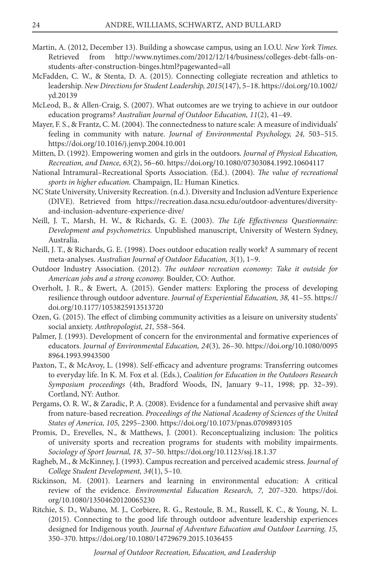- Martin, A. (2012, December 13). Building a showcase campus, using an I.O.U. *New York Times.*  Retrieved from http://www.nytimes.com/2012/12/14/business/colleges-debt-falls-onstudents-after-construction-binges.html?pagewanted=all
- McFadden, C. W., & Stenta, D. A. (2015). Connecting collegiate recreation and athletics to leadership. *New Directions for Student Leadership, 2015*(147), 5–18. https://doi.org/10.1002/ yd.20139
- McLeod, B., & Allen-Craig, S. (2007). What outcomes are we trying to achieve in our outdoor education programs? *Australian Journal of Outdoor Education, 11*(2), 41–49.
- Mayer, F. S., & Frantz, C. M. (2004). The connectedness to nature scale: A measure of individuals' feeling in community with nature. *Journal of Environmental Psychology, 24,* 503–515. https://doi.org/10.1016/j.jenvp.2004.10.001
- Mitten, D. (1992). Empowering women and girls in the outdoors. *Journal of Physical Education, Recreation, and Dance, 63*(2), 56–60. https://doi.org/10.1080/07303084.1992.10604117
- National Intramural–Recreational Sports Association. (Ed.). (2004). *The value of recreational sports in higher education.* Champaign, IL: Human Kinetics.
- NC State University, University Recreation. (n.d.). Diversity and Inclusion adVenture Experience (DIVE). Retrieved from https://recreation.dasa.ncsu.edu/outdoor-adventures/diversityand-inclusion-adventure-experience-dive/
- Neill, J. T., Marsh, H. W., & Richards, G. E. (2003). *The Life Effectiveness Questionnaire: Development and psychometrics.* Unpublished manuscript, University of Western Sydney, Australia.
- Neill, J. T., & Richards, G. E. (1998). Does outdoor education really work? A summary of recent meta-analyses. *Australian Journal of Outdoor Education, 3*(1), 1–9.
- Outdoor Industry Association. (2012). *The outdoor recreation economy: Take it outside for American jobs and a strong economy.* Boulder, CO: Author.
- Overholt, J. R., & Ewert, A. (2015). Gender matters: Exploring the process of developing resilience through outdoor adventure. *Journal of Experiential Education, 38,* 41–55. https:// doi.org/10.1177/1053825913513720
- Ozen, G. (2015). The effect of climbing community activities as a leisure on university students' social anxiety. *Anthropologist, 21,* 558–564.
- Palmer, J. (1993). Development of concern for the environmental and formative experiences of educators. *Journal of Environmental Education, 24*(3)*,* 26–30. https://doi.org/10.1080/0095 8964.1993.9943500
- Paxton, T., & McAvoy, L. (1998). Self-efficacy and adventure programs: Transferring outcomes to everyday life. In K. M. Fox et al. (Eds.), *Coalition for Education in the Outdoors Research Symposium proceedings* (4th, Bradford Woods, IN, January 9–11, 1998; pp. 32–39). Cortland, NY: Author.
- Pergams, O. R. W., & Zaradic, P. A. (2008). Evidence for a fundamental and pervasive shift away from nature-based recreation. *Proceedings of the National Academy of Sciences of the United States of America, 105,* 2295–2300. https://doi.org/10.1073/pnas.0709893105
- Promis, D., Erevelles, N., & Matthews, J. (2001). Reconceptualizing inclusion: The politics of university sports and recreation programs for students with mobility impairments. *Sociology of Sport Journal, 18,* 37–50. https://doi.org/10.1123/ssj.18.1.37
- Ragheb, M., & McKinney, J. (1993). Campus recreation and perceived academic stress. *Journal of College Student Development, 34*(1), 5–10.
- Rickinson, M. (2001). Learners and learning in environmental education: A critical review of the evidence. *Environmental Education Research, 7,* 207–320. https://doi. org/10.1080/13504620120065230
- Ritchie, S. D., Wabano, M. J., Corbiere, R. G., Restoule, B. M., Russell, K. C., & Young, N. L. (2015). Connecting to the good life through outdoor adventure leadership experiences designed for Indigenous youth. *Journal of Adventure Education and Outdoor Learning, 15,* 350–370. https://doi.org/10.1080/14729679.2015.1036455